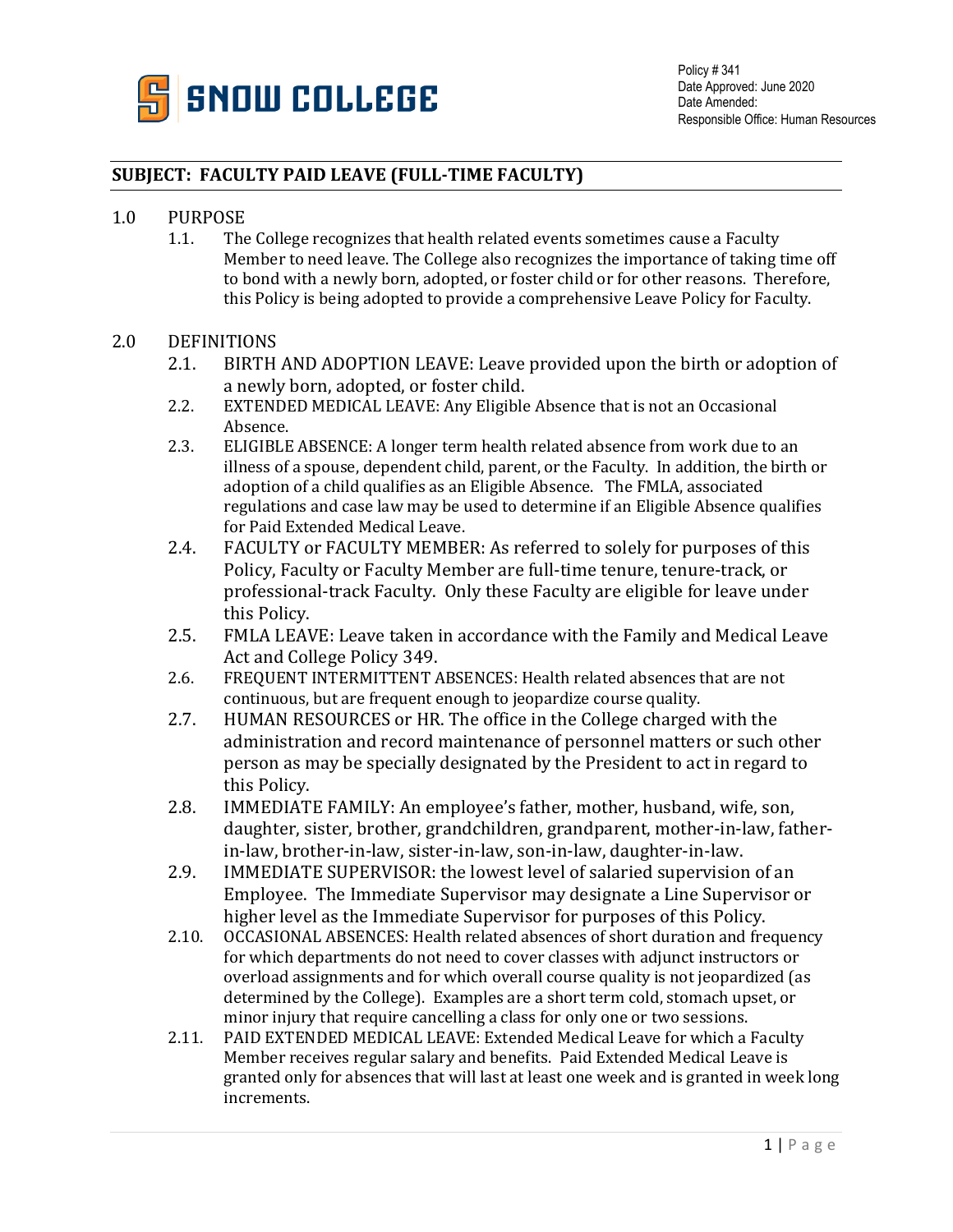

#### **SUBJECT: FACULTY PAID LEAVE (FULL-TIME FACULTY)**

## 1.0 PURPOSE<br>1.1. The

The College recognizes that health related events sometimes cause a Faculty Member to need leave. The College also recognizes the importance of taking time off to bond with a newly born, adopted, or foster child or for other reasons. Therefore, this Policy is being adopted to provide a comprehensive Leave Policy for Faculty.

# 2.0 DEFINITIONS<br>2.1. BIRTH

- BIRTH AND ADOPTION LEAVE: Leave provided upon the birth or adoption of a newly born, adopted, or foster child.
- 2.2. EXTENDED MEDICAL LEAVE: Any Eligible Absence that is not an Occasional Absence.
- 2.3. ELIGIBLE ABSENCE: A longer term health related absence from work due to an illness of a spouse, dependent child, parent, or the Faculty. In addition, the birth or adoption of a child qualifies as an Eligible Absence. The FMLA, associated regulations and case law may be used to determine if an Eligible Absence qualifies for Paid Extended Medical Leave.
- 2.4. FACULTY or FACULTY MEMBER: As referred to solely for purposes of this Policy, Faculty or Faculty Member are full-time tenure, tenure-track, or professional-track Faculty. Only these Faculty are eligible for leave under this Policy.
- 2.5. FMLA LEAVE: Leave taken in accordance with the Family and Medical Leave Act and College Policy 349.
- 2.6. FREQUENT INTERMITTENT ABSENCES: Health related absences that are not continuous, but are frequent enough to jeopardize course quality.
- 2.7. HUMAN RESOURCES or HR. The office in the College charged with the administration and record maintenance of personnel matters or such other person as may be specially designated by the President to act in regard to this Policy.
- 2.8. IMMEDIATE FAMILY: An employee's father, mother, husband, wife, son, daughter, sister, brother, grandchildren, grandparent, mother-in-law, fatherin-law, brother-in-law, sister-in-law, son-in-law, daughter-in-law.
- 2.9. IMMEDIATE SUPERVISOR: the lowest level of salaried supervision of an Employee. The Immediate Supervisor may designate a Line Supervisor or higher level as the Immediate Supervisor for purposes of this Policy.
- 2.10. OCCASIONAL ABSENCES: Health related absences of short duration and frequency for which departments do not need to cover classes with adjunct instructors or overload assignments and for which overall course quality is not jeopardized (as determined by the College). Examples are a short term cold, stomach upset, or minor injury that require cancelling a class for only one or two sessions.
- 2.11. PAID EXTENDED MEDICAL LEAVE: Extended Medical Leave for which a Faculty Member receives regular salary and benefits. Paid Extended Medical Leave is granted only for absences that will last at least one week and is granted in week long increments.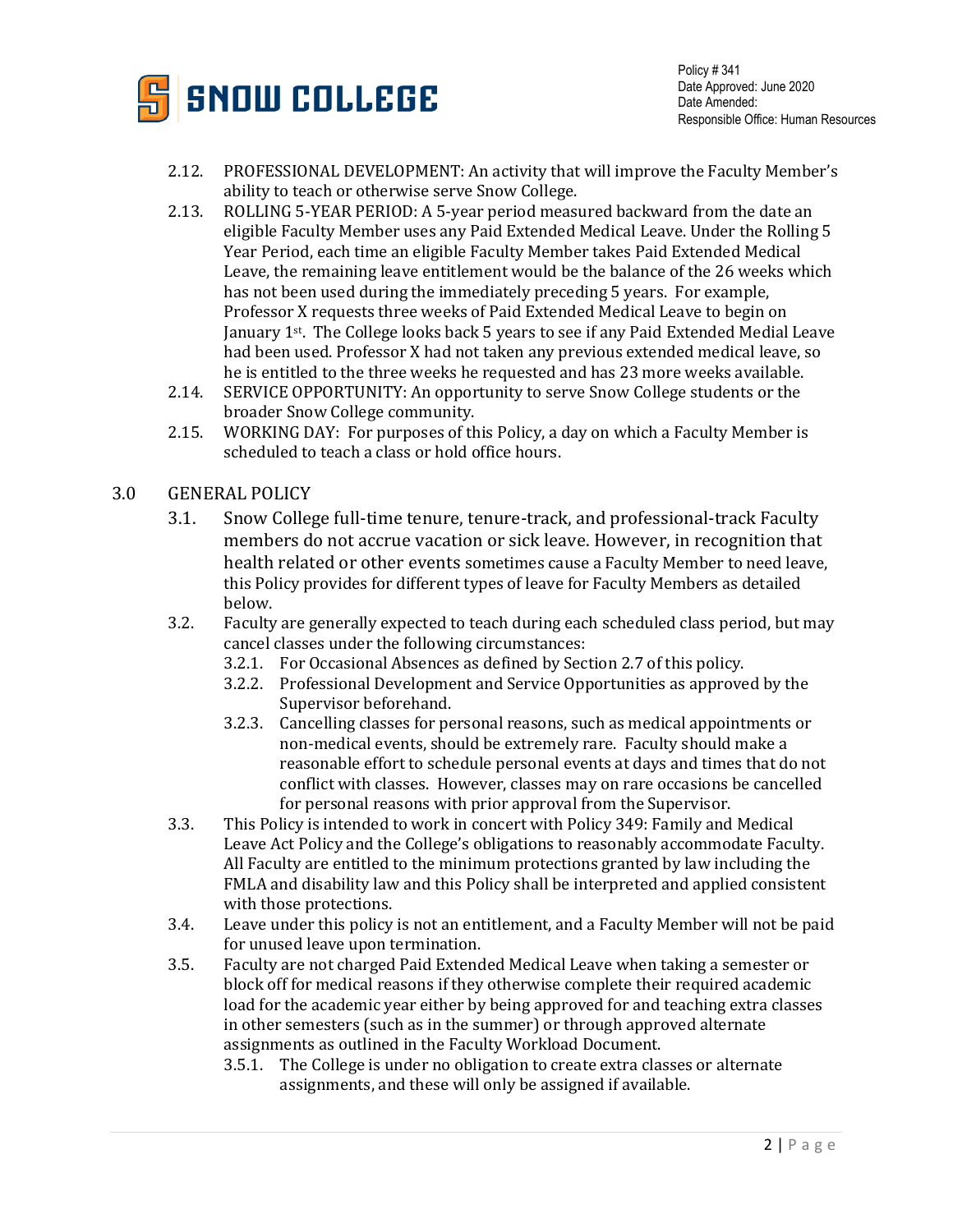

Policy # 341 Date Approved: June 2020 Date Amended: Responsible Office: Human Resources

- 2.12. PROFESSIONAL DEVELOPMENT: An activity that will improve the Faculty Member's ability to teach or otherwise serve Snow College.
- 2.13. ROLLING 5-YEAR PERIOD: A 5-year period measured backward from the date an eligible Faculty Member uses any Paid Extended Medical Leave. Under the Rolling 5 Year Period, each time an eligible Faculty Member takes Paid Extended Medical Leave, the remaining leave entitlement would be the balance of the 26 weeks which has not been used during the immediately preceding 5 years. For example, Professor X requests three weeks of Paid Extended Medical Leave to begin on January  $1^{st}$ . The College looks back 5 years to see if any Paid Extended Medial Leave had been used. Professor X had not taken any previous extended medical leave, so he is entitled to the three weeks he requested and has 23 more weeks available.
- 2.14. SERVICE OPPORTUNITY: An opportunity to serve Snow College students or the broader Snow College community.
- 2.15. WORKING DAY: For purposes of this Policy, a day on which a Faculty Member is scheduled to teach a class or hold office hours.

#### 3.0 GENERAL POLICY

- 3.1. Snow College full-time tenure, tenure-track, and professional-track Faculty members do not accrue vacation or sick leave. However, in recognition that health related or other events sometimes cause a Faculty Member to need leave, this Policy provides for different types of leave for Faculty Members as detailed below.
- 3.2. Faculty are generally expected to teach during each scheduled class period, but may cancel classes under the following circumstances:
	- 3.2.1. For Occasional Absences as defined by Section 2.7 of this policy.
	- 3.2.2. Professional Development and Service Opportunities as approved by the Supervisor beforehand.
	- 3.2.3. Cancelling classes for personal reasons, such as medical appointments or non-medical events, should be extremely rare. Faculty should make a reasonable effort to schedule personal events at days and times that do not conflict with classes. However, classes may on rare occasions be cancelled for personal reasons with prior approval from the Supervisor.
- 3.3. This Policy is intended to work in concert with Policy 349: Family and Medical Leave Act Policy and the College's obligations to reasonably accommodate Faculty. All Faculty are entitled to the minimum protections granted by law including the FMLA and disability law and this Policy shall be interpreted and applied consistent with those protections.
- 3.4. Leave under this policy is not an entitlement, and a Faculty Member will not be paid for unused leave upon termination.
- 3.5. Faculty are not charged Paid Extended Medical Leave when taking a semester or block off for medical reasons if they otherwise complete their required academic load for the academic year either by being approved for and teaching extra classes in other semesters (such as in the summer) or through approved alternate assignments as outlined in the Faculty Workload Document.<br>3.5.1. The College is under no obligation to create extra class
	- The College is under no obligation to create extra classes or alternate assignments, and these will only be assigned if available.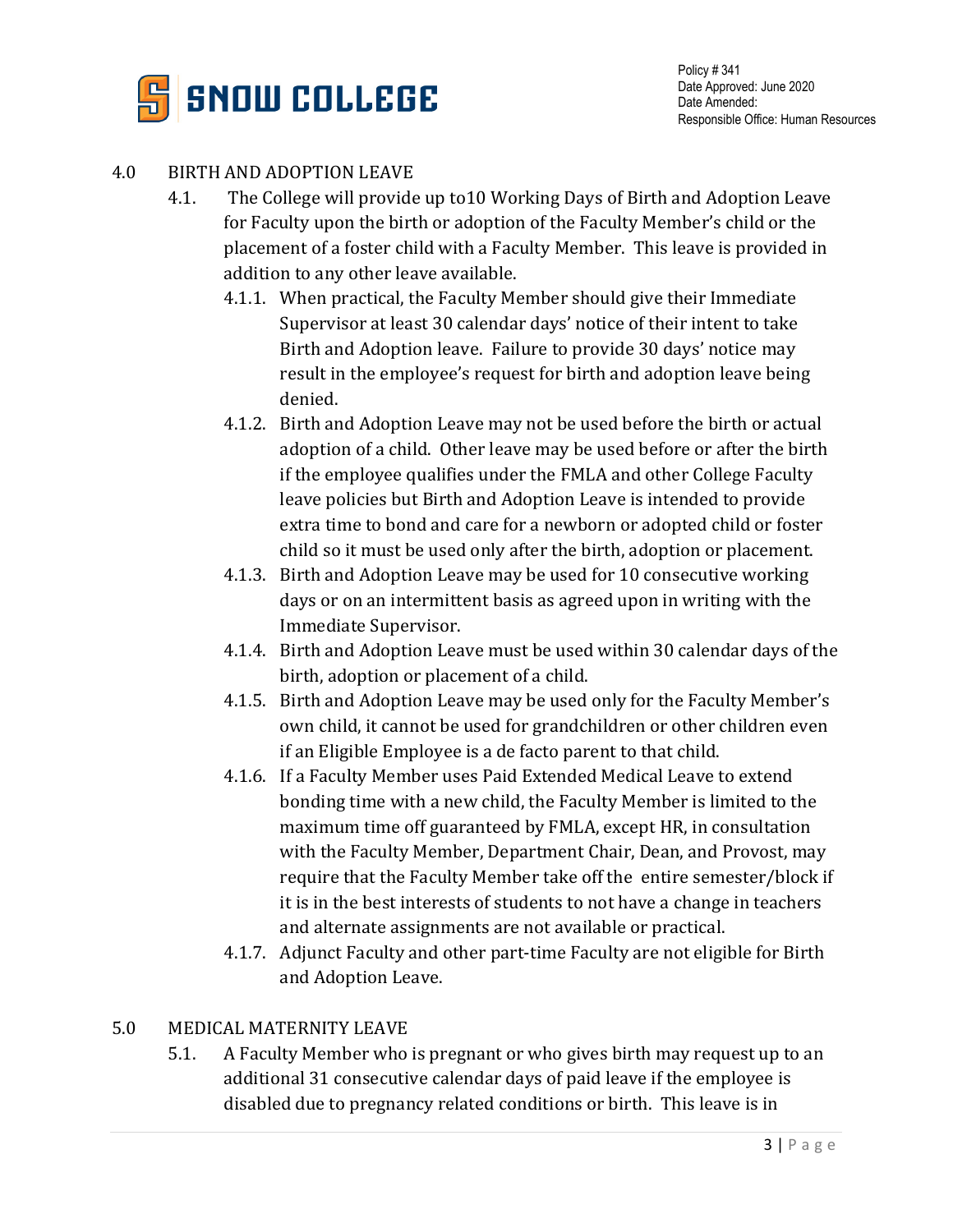

#### 4.0 BIRTH AND ADOPTION LEAVE

- 4.1. The College will provide up to10 Working Days of Birth and Adoption Leave for Faculty upon the birth or adoption of the Faculty Member's child or the placement of a foster child with a Faculty Member. This leave is provided in addition to any other leave available.
	- 4.1.1. When practical, the Faculty Member should give their Immediate Supervisor at least 30 calendar days' notice of their intent to take Birth and Adoption leave. Failure to provide 30 days' notice may result in the employee's request for birth and adoption leave being denied.
	- 4.1.2. Birth and Adoption Leave may not be used before the birth or actual adoption of a child. Other leave may be used before or after the birth if the employee qualifies under the FMLA and other College Faculty leave policies but Birth and Adoption Leave is intended to provide extra time to bond and care for a newborn or adopted child or foster child so it must be used only after the birth, adoption or placement.
	- 4.1.3. Birth and Adoption Leave may be used for 10 consecutive working days or on an intermittent basis as agreed upon in writing with the Immediate Supervisor.
	- 4.1.4. Birth and Adoption Leave must be used within 30 calendar days of the birth, adoption or placement of a child.
	- 4.1.5. Birth and Adoption Leave may be used only for the Faculty Member's own child, it cannot be used for grandchildren or other children even if an Eligible Employee is a de facto parent to that child.
	- 4.1.6. If a Faculty Member uses Paid Extended Medical Leave to extend bonding time with a new child, the Faculty Member is limited to the maximum time off guaranteed by FMLA, except HR, in consultation with the Faculty Member, Department Chair, Dean, and Provost, may require that the Faculty Member take off the entire semester/block if it is in the best interests of students to not have a change in teachers and alternate assignments are not available or practical.
	- 4.1.7. Adjunct Faculty and other part-time Faculty are not eligible for Birth and Adoption Leave.

#### 5.0 MEDICAL MATERNITY LEAVE

5.1. A Faculty Member who is pregnant or who gives birth may request up to an additional 31 consecutive calendar days of paid leave if the employee is disabled due to pregnancy related conditions or birth. This leave is in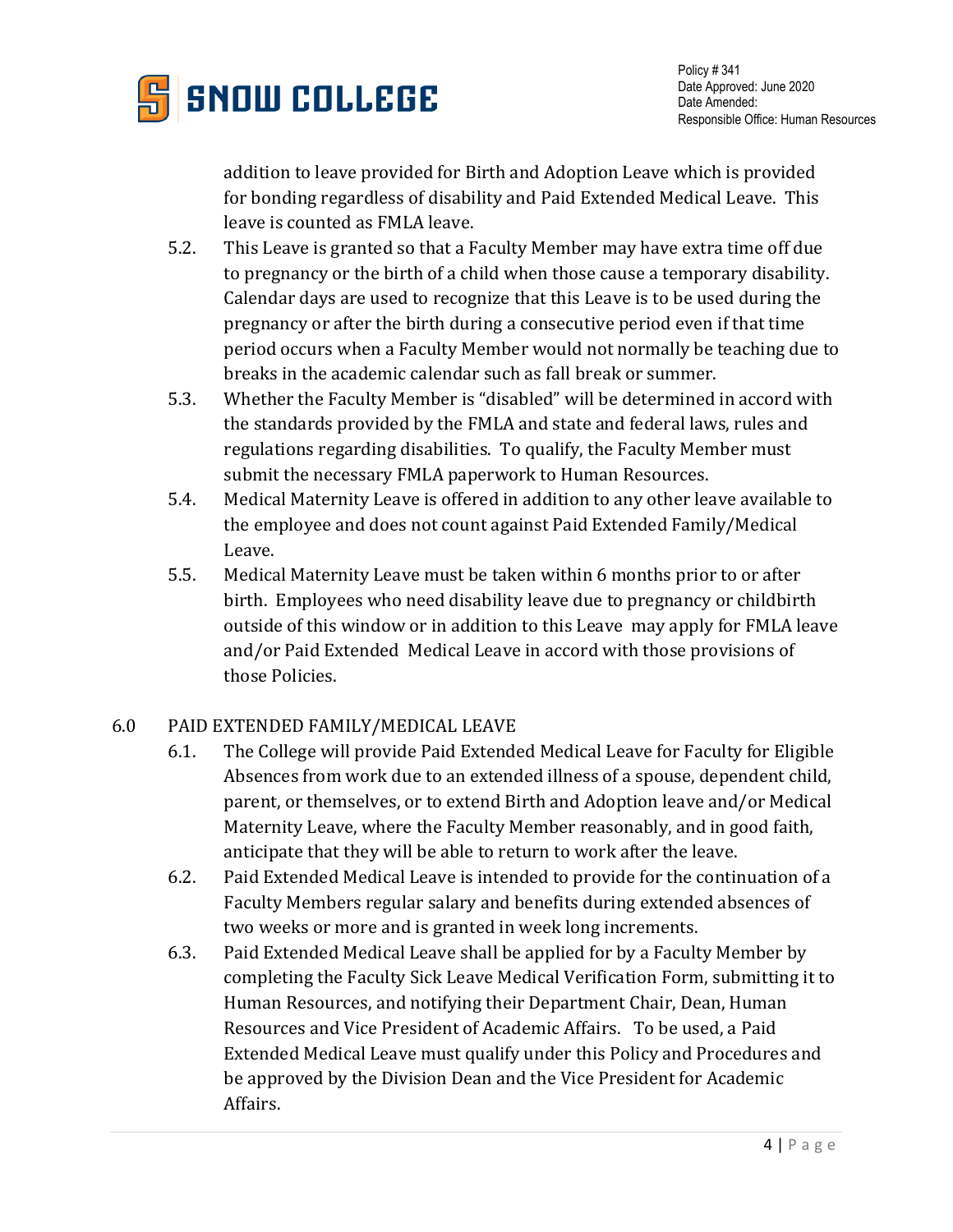

addition to leave provided for Birth and Adoption Leave which is provided for bonding regardless of disability and Paid Extended Medical Leave. This leave is counted as FMLA leave.

- 5.2. This Leave is granted so that a Faculty Member may have extra time off due to pregnancy or the birth of a child when those cause a temporary disability. Calendar days are used to recognize that this Leave is to be used during the pregnancy or after the birth during a consecutive period even if that time period occurs when a Faculty Member would not normally be teaching due to breaks in the academic calendar such as fall break or summer.
- 5.3. Whether the Faculty Member is "disabled" will be determined in accord with the standards provided by the FMLA and state and federal laws, rules and regulations regarding disabilities. To qualify, the Faculty Member must submit the necessary FMLA paperwork to Human Resources.
- 5.4. Medical Maternity Leave is offered in addition to any other leave available to the employee and does not count against Paid Extended Family/Medical Leave.
- 5.5. Medical Maternity Leave must be taken within 6 months prior to or after birth. Employees who need disability leave due to pregnancy or childbirth outside of this window or in addition to this Leave may apply for FMLA leave and/or Paid Extended Medical Leave in accord with those provisions of those Policies.

### 6.0 PAID EXTENDED FAMILY/MEDICAL LEAVE

- 6.1. The College will provide Paid Extended Medical Leave for Faculty for Eligible Absences from work due to an extended illness of a spouse, dependent child, parent, or themselves, or to extend Birth and Adoption leave and/or Medical Maternity Leave, where the Faculty Member reasonably, and in good faith, anticipate that they will be able to return to work after the leave.
- 6.2. Paid Extended Medical Leave is intended to provide for the continuation of a Faculty Members regular salary and benefits during extended absences of two weeks or more and is granted in week long increments.
- 6.3. Paid Extended Medical Leave shall be applied for by a Faculty Member by completing the Faculty Sick Leave Medical Verification Form, submitting it to Human Resources, and notifying their Department Chair, Dean, Human Resources and Vice President of Academic Affairs. To be used, a Paid Extended Medical Leave must qualify under this Policy and Procedures and be approved by the Division Dean and the Vice President for Academic Affairs.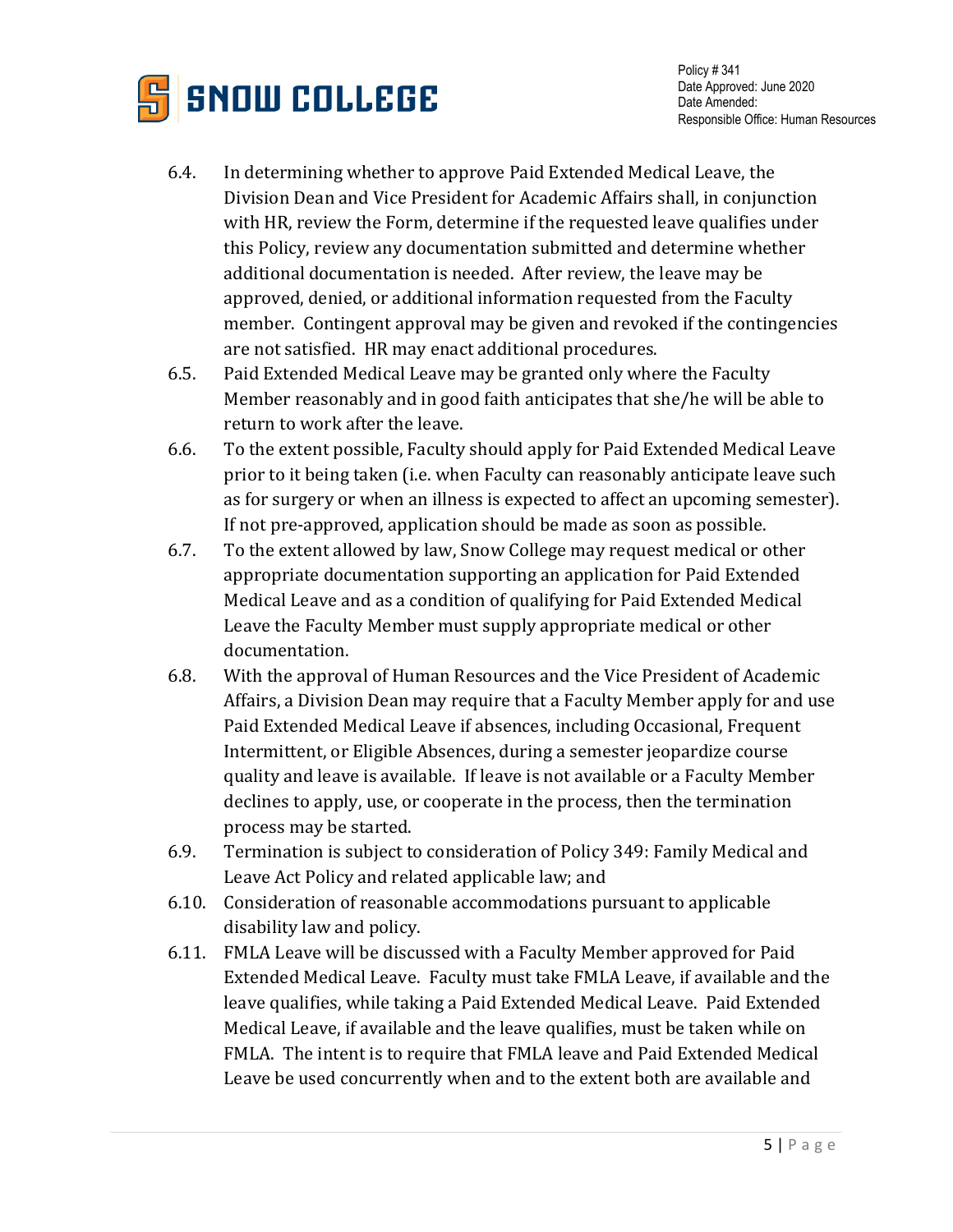

- 6.4. In determining whether to approve Paid Extended Medical Leave, the Division Dean and Vice President for Academic Affairs shall, in conjunction with HR, review the Form, determine if the requested leave qualifies under this Policy, review any documentation submitted and determine whether additional documentation is needed. After review, the leave may be approved, denied, or additional information requested from the Faculty member. Contingent approval may be given and revoked if the contingencies are not satisfied. HR may enact additional procedures.
- 6.5. Paid Extended Medical Leave may be granted only where the Faculty Member reasonably and in good faith anticipates that she/he will be able to return to work after the leave.
- 6.6. To the extent possible, Faculty should apply for Paid Extended Medical Leave prior to it being taken (i.e. when Faculty can reasonably anticipate leave such as for surgery or when an illness is expected to affect an upcoming semester). If not pre-approved, application should be made as soon as possible.
- 6.7. To the extent allowed by law, Snow College may request medical or other appropriate documentation supporting an application for Paid Extended Medical Leave and as a condition of qualifying for Paid Extended Medical Leave the Faculty Member must supply appropriate medical or other documentation.
- 6.8. With the approval of Human Resources and the Vice President of Academic Affairs, a Division Dean may require that a Faculty Member apply for and use Paid Extended Medical Leave if absences, including Occasional, Frequent Intermittent, or Eligible Absences, during a semester jeopardize course quality and leave is available. If leave is not available or a Faculty Member declines to apply, use, or cooperate in the process, then the termination process may be started.
- 6.9. Termination is subject to consideration of Policy 349: Family Medical and Leave Act Policy and related applicable law; and
- 6.10. Consideration of reasonable accommodations pursuant to applicable disability law and policy.
- 6.11. FMLA Leave will be discussed with a Faculty Member approved for Paid Extended Medical Leave. Faculty must take FMLA Leave, if available and the leave qualifies, while taking a Paid Extended Medical Leave. Paid Extended Medical Leave, if available and the leave qualifies, must be taken while on FMLA. The intent is to require that FMLA leave and Paid Extended Medical Leave be used concurrently when and to the extent both are available and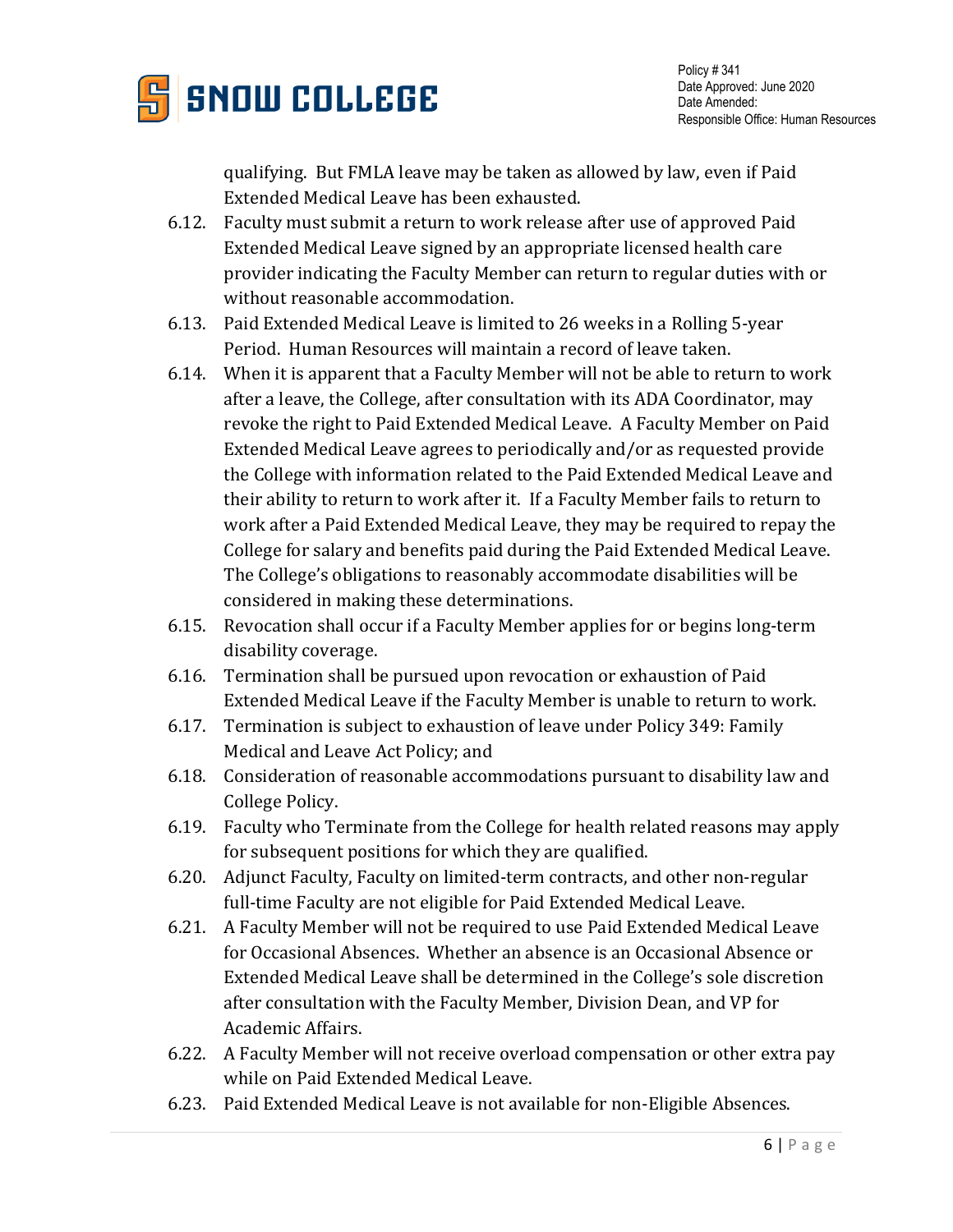

qualifying. But FMLA leave may be taken as allowed by law, even if Paid Extended Medical Leave has been exhausted.

- 6.12. Faculty must submit a return to work release after use of approved Paid Extended Medical Leave signed by an appropriate licensed health care provider indicating the Faculty Member can return to regular duties with or without reasonable accommodation.
- 6.13. Paid Extended Medical Leave is limited to 26 weeks in a Rolling 5-year Period. Human Resources will maintain a record of leave taken.
- 6.14. When it is apparent that a Faculty Member will not be able to return to work after a leave, the College, after consultation with its ADA Coordinator, may revoke the right to Paid Extended Medical Leave. A Faculty Member on Paid Extended Medical Leave agrees to periodically and/or as requested provide the College with information related to the Paid Extended Medical Leave and their ability to return to work after it. If a Faculty Member fails to return to work after a Paid Extended Medical Leave, they may be required to repay the College for salary and benefits paid during the Paid Extended Medical Leave. The College's obligations to reasonably accommodate disabilities will be considered in making these determinations.
- 6.15. Revocation shall occur if a Faculty Member applies for or begins long-term disability coverage.
- 6.16. Termination shall be pursued upon revocation or exhaustion of Paid Extended Medical Leave if the Faculty Member is unable to return to work.
- 6.17. Termination is subject to exhaustion of leave under Policy 349: Family Medical and Leave Act Policy; and
- 6.18. Consideration of reasonable accommodations pursuant to disability law and College Policy.
- 6.19. Faculty who Terminate from the College for health related reasons may apply for subsequent positions for which they are qualified.
- 6.20. Adjunct Faculty, Faculty on limited-term contracts, and other non-regular full-time Faculty are not eligible for Paid Extended Medical Leave.
- 6.21. A Faculty Member will not be required to use Paid Extended Medical Leave for Occasional Absences. Whether an absence is an Occasional Absence or Extended Medical Leave shall be determined in the College's sole discretion after consultation with the Faculty Member, Division Dean, and VP for Academic Affairs.
- 6.22. A Faculty Member will not receive overload compensation or other extra pay while on Paid Extended Medical Leave.
- 6.23. Paid Extended Medical Leave is not available for non-Eligible Absences.